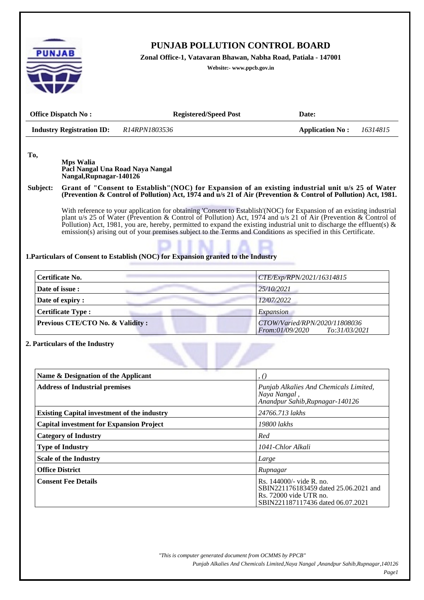| PUNJAB POLLUTION CONTROL BOARD<br><b>PUNJAE</b><br>Zonal Office-1, Vatavaran Bhawan, Nabha Road, Patiala - 147001<br>Website:- www.ppcb.gov.in |                                                                                    |                                                                                                                                                                                                                                                                                                                                                                                                                                                                                       |  |  |  |
|------------------------------------------------------------------------------------------------------------------------------------------------|------------------------------------------------------------------------------------|---------------------------------------------------------------------------------------------------------------------------------------------------------------------------------------------------------------------------------------------------------------------------------------------------------------------------------------------------------------------------------------------------------------------------------------------------------------------------------------|--|--|--|
|                                                                                                                                                | <b>Office Dispatch No:</b><br><b>Registered/Speed Post</b>                         | Date:                                                                                                                                                                                                                                                                                                                                                                                                                                                                                 |  |  |  |
|                                                                                                                                                | <b>Industry Registration ID:</b><br>R14RPN1803536                                  | <b>Application No:</b><br>16314815                                                                                                                                                                                                                                                                                                                                                                                                                                                    |  |  |  |
| To,                                                                                                                                            | <b>Mps Walia</b><br>Pacl Nangal Una Road Naya Nangal<br>Nangal, Rupnagar-140126    |                                                                                                                                                                                                                                                                                                                                                                                                                                                                                       |  |  |  |
| Subject:                                                                                                                                       |                                                                                    | Grant of "Consent to Establish" (NOC) for Expansion of an existing industrial unit u/s 25 of Water<br>(Prevention & Control of Pollution) Act, 1974 and u/s 21 of Air (Prevention & Control of Pollution) Act, 1981.                                                                                                                                                                                                                                                                  |  |  |  |
|                                                                                                                                                |                                                                                    | With reference to your application for obtaining 'Consent to Establish'(NOC) for Expansion of an existing industrial<br>plant u/s 25 of Water (Prevention & Control of Pollution) Act, 1974 and u/s 21 of Air (Prevention & Control of<br>Pollution) Act, 1981, you are, hereby, permitted to expand the existing industrial unit to discharge the effluent(s) $\&$<br>emission(s) arising out of your premises subject to the Terms and Conditions as specified in this Certificate. |  |  |  |
|                                                                                                                                                |                                                                                    |                                                                                                                                                                                                                                                                                                                                                                                                                                                                                       |  |  |  |
|                                                                                                                                                | 1. Particulars of Consent to Establish (NOC) for Expansion granted to the Industry |                                                                                                                                                                                                                                                                                                                                                                                                                                                                                       |  |  |  |
|                                                                                                                                                | <b>Certificate No.</b>                                                             | CTE/Exp/RPN/2021/16314815                                                                                                                                                                                                                                                                                                                                                                                                                                                             |  |  |  |
|                                                                                                                                                | Date of issue:                                                                     | 25/10/2021                                                                                                                                                                                                                                                                                                                                                                                                                                                                            |  |  |  |
|                                                                                                                                                | Date of expiry:                                                                    | 12/07/2022                                                                                                                                                                                                                                                                                                                                                                                                                                                                            |  |  |  |
|                                                                                                                                                | <b>Certificate Type:</b>                                                           | Expansion                                                                                                                                                                                                                                                                                                                                                                                                                                                                             |  |  |  |
|                                                                                                                                                | Previous CTE/CTO No. & Validity :                                                  | CTOW/Varied/RPN/2020/11808036<br>From:01/09/2020<br>To:31/03/2021                                                                                                                                                                                                                                                                                                                                                                                                                     |  |  |  |
|                                                                                                                                                | 2. Particulars of the Industry                                                     |                                                                                                                                                                                                                                                                                                                                                                                                                                                                                       |  |  |  |
|                                                                                                                                                | Name & Designation of the Applicant                                                | , ()                                                                                                                                                                                                                                                                                                                                                                                                                                                                                  |  |  |  |
|                                                                                                                                                | <b>Address of Industrial premises</b>                                              | Punjab Alkalies And Chemicals Limited,<br>Naya Nangal,<br>Anandpur Sahib, Rupnagar-140126                                                                                                                                                                                                                                                                                                                                                                                             |  |  |  |
|                                                                                                                                                | <b>Existing Capital investment of the industry</b>                                 | 24766.713 lakhs                                                                                                                                                                                                                                                                                                                                                                                                                                                                       |  |  |  |
|                                                                                                                                                | <b>Capital investment for Expansion Project</b>                                    | 19800 lakhs                                                                                                                                                                                                                                                                                                                                                                                                                                                                           |  |  |  |
|                                                                                                                                                | <b>Category of Industry</b>                                                        | Red                                                                                                                                                                                                                                                                                                                                                                                                                                                                                   |  |  |  |
|                                                                                                                                                | <b>Type of Industry</b>                                                            | 1041-Chlor Alkali                                                                                                                                                                                                                                                                                                                                                                                                                                                                     |  |  |  |
|                                                                                                                                                | <b>Scale of the Industry</b>                                                       | Large                                                                                                                                                                                                                                                                                                                                                                                                                                                                                 |  |  |  |
|                                                                                                                                                | <b>Office District</b>                                                             | Rupnagar                                                                                                                                                                                                                                                                                                                                                                                                                                                                              |  |  |  |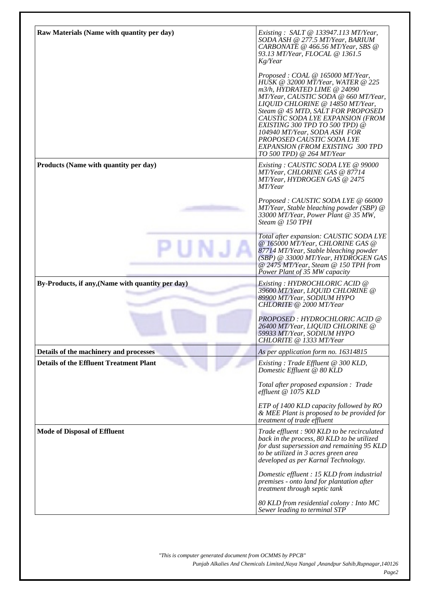| Raw Materials (Name with quantity per day)        | Existing: SALT @ 133947.113 MT/Year,<br>SODA ASH @ 277.5 MT/Year, BARIUM<br>CARBONATE @ 466.56 MT/Year, SBS @<br>93.13 MT/Year, FLOCAL @ 1361.5<br>Kg/Year                                                                                                                                                                                                                                                                        |
|---------------------------------------------------|-----------------------------------------------------------------------------------------------------------------------------------------------------------------------------------------------------------------------------------------------------------------------------------------------------------------------------------------------------------------------------------------------------------------------------------|
|                                                   | Proposed : COAL @ 165000 MT/Year,<br>HUSK $@$ 32000 MT/Year, WATER $@$ 225<br>$m3/h$ , HYDRATED LIME @ 24090<br>MT/Year, CAUSTIC SODA @ 660 MT/Year,<br>LIQUID CHLORINE @ 14850 MT/Year,<br>Steam @ 45 MTD, SALT FOR PROPOSED<br>CAUSTIC SODA LYE EXPANSION (FROM<br>EXISTING 300 TPD TO 500 TPD) @<br>104940 MT/Year, SODA ASH FOR<br>PROPOSED CAUSTIC SODA LYE<br>EXPANSION (FROM EXISTING 300 TPD<br>TO 500 TPD) @ 264 MT/Year |
| Products (Name with quantity per day)             | Existing: CAUSTIC SODA LYE @ 99000<br>MT/Year, CHLORINE GAS @ 87714<br>MT/Year, HYDROGEN GAS @ 2475<br>MT/Year                                                                                                                                                                                                                                                                                                                    |
|                                                   | Proposed: CAUSTIC SODA LYE @ 66000<br>MT/Year, Stable bleaching powder (SBP) @<br>33000 MT/Year, Power Plant @ 35 MW,<br>Steam @ 150 TPH                                                                                                                                                                                                                                                                                          |
|                                                   | Total after expansion: CAUSTIC SODA LYE<br>@ 165000 MT/Year, CHLORINE GAS @<br>87714 MT/Year, Stable bleaching powder<br>(SBP) @ 33000 MT/Year, HYDROGEN GAS<br>@ 2475 MT/Year, Steam @ 150 TPH from<br>Power Plant of 35 MW capacity                                                                                                                                                                                             |
| By-Products, if any, (Name with quantity per day) | Existing: HYDROCHLORIC ACID@<br>39600 MT/Year, LIQUID CHLORINE @<br>89900 MT/Year, SODIUM HYPO<br>CHLORITE @ 2000 MT/Year                                                                                                                                                                                                                                                                                                         |
|                                                   | PROPOSED : HYDROCHLORIC ACID @<br>26400 MT/Year, LIQUID CHLORINE @<br>59933 MT/Year, SODIUM HYPO<br>CHLORITE @ 1333 MT/Year                                                                                                                                                                                                                                                                                                       |
| Details of the machinery and processes            | As per application form no. 16314815                                                                                                                                                                                                                                                                                                                                                                                              |
| <b>Details of the Effluent Treatment Plant</b>    | Existing: Trade Effluent @ 300 KLD,<br>Domestic Effluent @ 80 KLD                                                                                                                                                                                                                                                                                                                                                                 |
|                                                   | Total after proposed expansion : Trade<br>effluent @ 1075 KLD                                                                                                                                                                                                                                                                                                                                                                     |
|                                                   | ETP of 1400 KLD capacity followed by RO<br>& MEE Plant is proposed to be provided for<br>treatment of trade effluent                                                                                                                                                                                                                                                                                                              |
| <b>Mode of Disposal of Effluent</b>               | Trade effluent : 900 KLD to be recirculated<br>back in the process, 80 KLD to be utilized<br>for dust supersession and remaining 95 KLD<br>to be utilized in 3 acres green area<br>developed as per Karnal Technology.                                                                                                                                                                                                            |
|                                                   | Domestic effluent : 15 KLD from industrial<br>premises - onto land for plantation after<br>treatment through septic tank                                                                                                                                                                                                                                                                                                          |
|                                                   | 80 KLD from residential colony: Into MC<br>Sewer leading to terminal STP                                                                                                                                                                                                                                                                                                                                                          |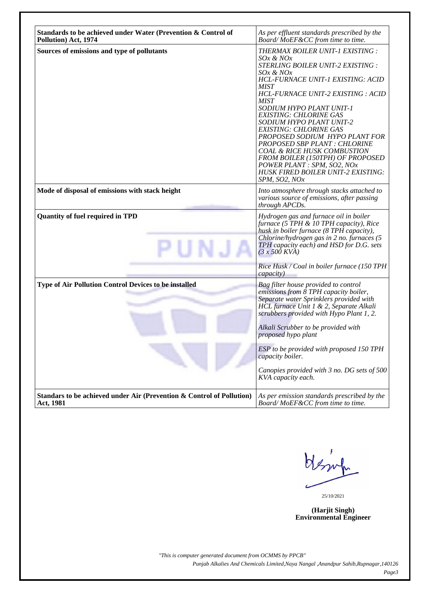| Standards to be achieved under Water (Prevention & Control of<br>Pollution) Act, 1974 | As per effluent standards prescribed by the<br>Board/MoEF&CC from time to time.                                                                                                                                                                                                                                                                                                                                                                                                                                                                                                               |
|---------------------------------------------------------------------------------------|-----------------------------------------------------------------------------------------------------------------------------------------------------------------------------------------------------------------------------------------------------------------------------------------------------------------------------------------------------------------------------------------------------------------------------------------------------------------------------------------------------------------------------------------------------------------------------------------------|
| Sources of emissions and type of pollutants                                           | THERMAX BOILER UNIT-1 EXISTING :<br>$SOx \& NOx$<br>STERLING BOILER UNIT-2 EXISTING :<br>$SOx \& NOx$<br>HCL-FURNACE UNIT-1 EXISTING: ACID<br><b>MIST</b><br><b>HCL-FURNACE UNIT-2 EXISTING : ACID</b><br><b>MIST</b><br>SODIUM HYPO PLANT UNIT-1<br><b>EXISTING: CHLORINE GAS</b><br>SODIUM HYPO PLANT UNIT-2<br><b>EXISTING: CHLORINE GAS</b><br>PROPOSED SODIUM HYPO PLANT FOR<br>PROPOSED SBP PLANT : CHLORINE<br><b>COAL &amp; RICE HUSK COMBUSTION</b><br>FROM BOILER (150TPH) OF PROPOSED<br>POWER PLANT : SPM, SO2, NOx<br><b>HUSK FIRED BOILER UNIT-2 EXISTING:</b><br>SPM, SO2, NOx |
| Mode of disposal of emissions with stack height                                       | Into atmosphere through stacks attached to<br>various source of emissions, after passing<br>through APCDs.                                                                                                                                                                                                                                                                                                                                                                                                                                                                                    |
| <b>Quantity of fuel required in TPD</b>                                               | Hydrogen gas and furnace oil in boiler<br>furnace (5 TPH & 10 TPH capacity), Rice<br>husk in boiler furnace (8 TPH capacity),<br>Chlorine/hydrogen gas in 2 no. furnaces (5<br>TPH capacity each) and HSD for D.G. sets<br>(3 x 500 KVA)                                                                                                                                                                                                                                                                                                                                                      |
|                                                                                       | Rice Husk / Coal in boiler furnace (150 TPH<br>capacity)                                                                                                                                                                                                                                                                                                                                                                                                                                                                                                                                      |
| <b>Type of Air Pollution Control Devices to be installed</b>                          | Bag filter house provided to control<br>emissions from 8 TPH capacity boiler,<br>Separate water Sprinklers provided with<br>HCL furnace Unit 1 & 2, Separate Alkali<br>scrubbers provided with Hypo Plant 1, 2.<br>Alkali Scrubber to be provided with<br>proposed hypo plant                                                                                                                                                                                                                                                                                                                 |
|                                                                                       | ESP to be provided with proposed 150 TPH<br>capacity boiler.<br>Canopies provided with 3 no. DG sets of 500<br>KVA capacity each.                                                                                                                                                                                                                                                                                                                                                                                                                                                             |
| Standars to be achieved under Air (Prevention & Control of Pollution)<br>Act, 1981    | As per emission standards prescribed by the<br>Board/MoEF&CC from time to time.                                                                                                                                                                                                                                                                                                                                                                                                                                                                                                               |

desing

25/10/2021

**(Harjit Singh) Environmental Engineer**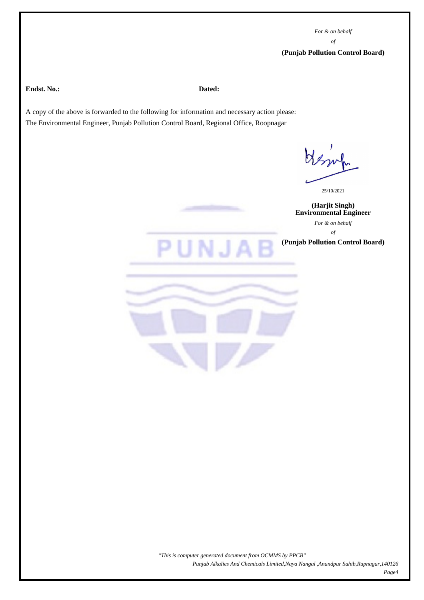*For & on behalf of* **(Punjab Pollution Control Board)**

# **Endst. No.: Dated:**

A copy of the above is forwarded to the following for information and necessary action please: The Environmental Engineer, Punjab Pollution Control Board, Regional Office, Roopnagar

25/10/2021

**(Harjit Singh) Environmental Engineer**

> *For & on behalf of*

**(Punjab Pollution Control Board)**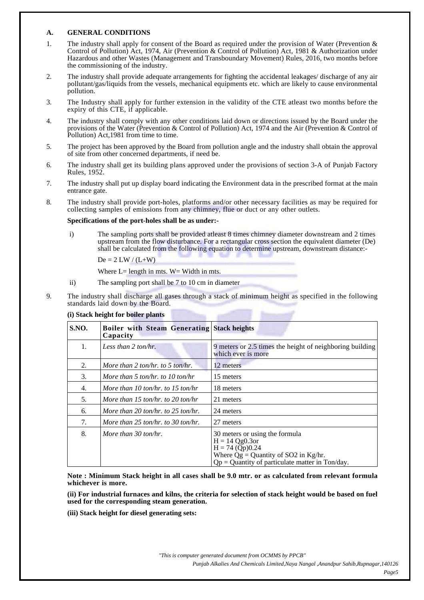## **A. GENERAL CONDITIONS**

- 1. The industry shall apply for consent of the Board as required under the provision of Water (Prevention & Control of Pollution) Act, 1974, Air (Prevention & Control of Pollution) Act, 1981 & Authorization under Hazardous and other Wastes (Management and Transboundary Movement) Rules, 2016, two months before the commissioning of the industry.
- 2. The industry shall provide adequate arrangements for fighting the accidental leakages/ discharge of any air pollutant/gas/liquids from the vessels, mechanical equipments etc. which are likely to cause environmental pollution.
- 3. The Industry shall apply for further extension in the validity of the CTE atleast two months before the expiry of this CTE, if applicable.
- 4. The industry shall comply with any other conditions laid down or directions issued by the Board under the provisions of the Water (Prevention & Control of Pollution) Act, 1974 and the Air (Prevention & Control of Pollution) Act,1981 from time to time.
- 5. The project has been approved by the Board from pollution angle and the industry shall obtain the approval of site from other concerned departments, if need be.
- 6. The industry shall get its building plans approved under the provisions of section 3-A of Punjab Factory Rules, 1952.
- 7. The industry shall put up display board indicating the Environment data in the prescribed format at the main entrance gate.
- 8. The industry shall provide port-holes, platforms and/or other necessary facilities as may be required for collecting samples of emissions from any chimney, flue or duct or any other outlets.

#### **Specifications of the port-holes shall be as under:-**

i) The sampling ports shall be provided atleast 8 times chimney diameter downstream and 2 times upstream from the flow disturbance. For a rectangular cross section the equivalent diameter (De) shall be calculated from the following equation to determine upstream, downstream distance:-

 $De = 2 LW / (L+W)$ 

Where  $L=$  length in mts. W= Width in mts.

- ii) The sampling port shall be 7 to 10 cm in diameter
- 9. The industry shall discharge all gases through a stack of minimum height as specified in the following standards laid down by the Board.

#### **(i) Stack height for boiler plants**

| S.NO. | Boiler with Steam Generating Stack heights<br>Capacity |                                                                                                                                                                         |
|-------|--------------------------------------------------------|-------------------------------------------------------------------------------------------------------------------------------------------------------------------------|
| 1.    | Less than 2 ton/hr.                                    | 9 meters or 2.5 times the height of neighboring building<br>which ever is more                                                                                          |
| 2.    | More than 2 ton/hr. to 5 ton/hr.                       | 12 meters                                                                                                                                                               |
| 3.    | More than 5 ton/hr. to 10 ton/hr                       | 15 meters                                                                                                                                                               |
| 4.    | More than 10 ton/hr, to 15 ton/hr                      | 18 meters                                                                                                                                                               |
| 5.    | More than 15 ton/hr, to 20 ton/hr                      | 21 meters                                                                                                                                                               |
| 6.    | More than 20 ton/hr. to 25 ton/hr.                     | 24 meters                                                                                                                                                               |
| 7.    | More than 25 ton/hr, to 30 ton/hr.                     | 27 meters                                                                                                                                                               |
| 8.    | More than $30$ ton/hr.                                 | 30 meters or using the formula<br>$H = 14$ Qg0.3or<br>$H = 74 (Qp) 0.24$<br>Where $Qg =$ Quantity of SO2 in Kg/hr.<br>$Qp =$ Quantity of particulate matter in Ton/day. |

**Note : Minimum Stack height in all cases shall be 9.0 mtr. or as calculated from relevant formula whichever is more.**

**(ii) For industrial furnaces and kilns, the criteria for selection of stack height would be based on fuel used for the corresponding steam generation.**

**(iii) Stack height for diesel generating sets:**

*"This is computer generated document from OCMMS by PPCB"* 

*Punjab Alkalies And Chemicals Limited,Naya Nangal ,Anandpur Sahib,Rupnagar,140126*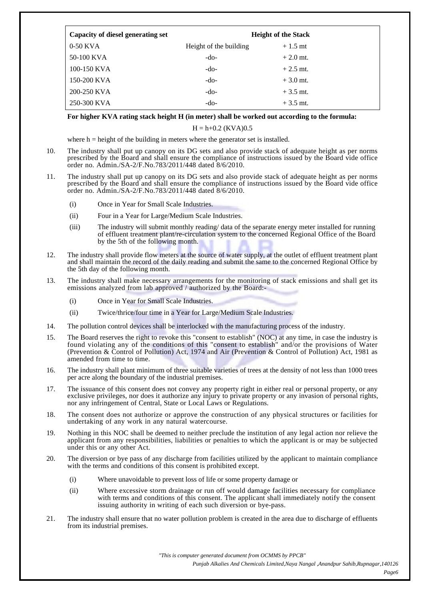| Height of the building<br>$-do-$<br>$-do-$<br>$-do-$ | Capacity of diesel generating set | <b>Height of the Stack</b> |            |
|------------------------------------------------------|-----------------------------------|----------------------------|------------|
|                                                      | $0-50$ KVA                        |                            | $+1.5$ mt  |
|                                                      | 50-100 KVA                        |                            | $+2.0$ mt. |
|                                                      | 100-150 KVA                       |                            | $+2.5$ mt. |
|                                                      | 150-200 KVA                       |                            | $+3.0$ mt. |
|                                                      | 200-250 KVA                       | $-do-$                     | $+3.5$ mt. |
| $-do-$                                               | 250-300 KVA                       |                            | $+3.5$ mt. |

## **For higher KVA rating stack height H (in meter) shall be worked out according to the formula:**

## $H = h + 0.2$  (KVA) $0.5$

where  $h =$  height of the building in meters where the generator set is installed.

- 10. The industry shall put up canopy on its DG sets and also provide stack of adequate height as per norms prescribed by the Board and shall ensure the compliance of instructions issued by the Board vide office order no. Admin./SA-2/F.No.783/2011/448 dated 8/6/2010.
- 11. The industry shall put up canopy on its DG sets and also provide stack of adequate height as per norms prescribed by the Board and shall ensure the compliance of instructions issued by the Board vide office order no. Admin./SA-2/F.No.783/2011/448 dated 8/6/2010.
	- (i) Once in Year for Small Scale Industries.
	- (ii) Four in a Year for Large/Medium Scale Industries.
	- (iii) The industry will submit monthly reading/ data of the separate energy meter installed for running of effluent treatment plant/re-circulation system to the concerned Regional Office of the Board by the 5th of the following month.
- 12. The industry shall provide flow meters at the source of water supply, at the outlet of effluent treatment plant and shall maintain the record of the daily reading and submit the same to the concerned Regional Office by the 5th day of the following month.
- 13. The industry shall make necessary arrangements for the monitoring of stack emissions and shall get its emissions analyzed from lab approved / authorized by the Board:-
	- (i) Once in Year for Small Scale Industries.
	- (ii) Twice/thrice/four time in a Year for Large/Medium Scale Industries.
- 14. The pollution control devices shall be interlocked with the manufacturing process of the industry.
- 15. The Board reserves the right to revoke this "consent to establish" (NOC) at any time, in case the industry is found violating any of the conditions of this "consent to establish" and/or the provisions of Water (Prevention & Control of Pollution) Act, 1974 and Air (Prevention & Control of Pollution) Act, 1981 as amended from time to time.
- 16. The industry shall plant minimum of three suitable varieties of trees at the density of not less than 1000 trees per acre along the boundary of the industrial premises.
- 17. The issuance of this consent does not convey any property right in either real or personal property, or any exclusive privileges, nor does it authorize any injury to private property or any invasion of personal rights, nor any infringement of Central, State or Local Laws or Regulations.
- 18. The consent does not authorize or approve the construction of any physical structures or facilities for undertaking of any work in any natural watercourse.
- 19. Nothing in this NOC shall be deemed to neither preclude the institution of any legal action nor relieve the applicant from any responsibilities, liabilities or penalties to which the applicant is or may be subjected under this or any other Act.
- 20. The diversion or bye pass of any discharge from facilities utilized by the applicant to maintain compliance with the terms and conditions of this consent is prohibited except.
	- (i) Where unavoidable to prevent loss of life or some property damage or
	- (ii) Where excessive storm drainage or run off would damage facilities necessary for compliance with terms and conditions of this consent. The applicant shall immediately notify the consent issuing authority in writing of each such diversion or bye-pass.
- 21. The industry shall ensure that no water pollution problem is created in the area due to discharge of effluents from its industrial premises.

*"This is computer generated document from OCMMS by PPCB"* 

*Punjab Alkalies And Chemicals Limited,Naya Nangal ,Anandpur Sahib,Rupnagar,140126*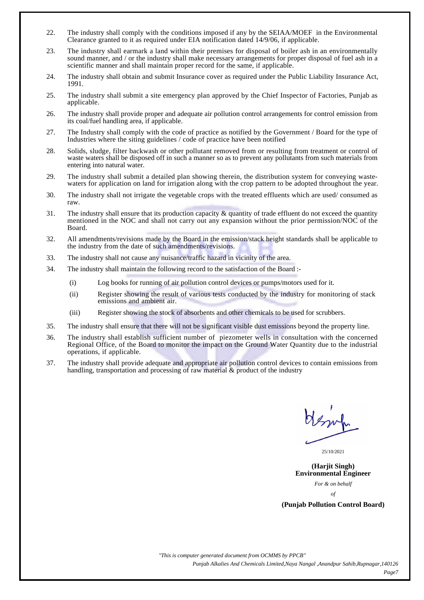- 22. The industry shall comply with the conditions imposed if any by the SEIAA/MOEF in the Environmental Clearance granted to it as required under EIA notification dated 14/9/06, if applicable.
- 23. The industry shall earmark a land within their premises for disposal of boiler ash in an environmentally sound manner, and / or the industry shall make necessary arrangements for proper disposal of fuel ash in a scientific manner and shall maintain proper record for the same, if applicable.
- 24. The industry shall obtain and submit Insurance cover as required under the Public Liability Insurance Act, 1991.
- 25. The industry shall submit a site emergency plan approved by the Chief Inspector of Factories, Punjab as applicable.
- 26. The industry shall provide proper and adequate air pollution control arrangements for control emission from its coal/fuel handling area, if applicable.
- 27. The Industry shall comply with the code of practice as notified by the Government / Board for the type of Industries where the siting guidelines / code of practice have been notified
- 28. Solids, sludge, filter backwash or other pollutant removed from or resulting from treatment or control of waste waters shall be disposed off in such a manner so as to prevent any pollutants from such materials from entering into natural water.
- 29. The industry shall submit a detailed plan showing therein, the distribution system for conveying wastewaters for application on land for irrigation along with the crop pattern to be adopted throughout the year.
- 30. The industry shall not irrigate the vegetable crops with the treated effluents which are used/ consumed as raw.
- 31. The industry shall ensure that its production capacity & quantity of trade effluent do not exceed the quantity mentioned in the NOC and shall not carry out any expansion without the prior permission/NOC of the Board.
- 32. All amendments/revisions made by the Board in the emission/stack height standards shall be applicable to the industry from the date of such amendments/revisions.
- 33. The industry shall not cause any nuisance/traffic hazard in vicinity of the area.
- 34. The industry shall maintain the following record to the satisfaction of the Board :-
	- (i) Log books for running of air pollution control devices or pumps/motors used for it.
	- (ii) Register showing the result of various tests conducted by the industry for monitoring of stack emissions and ambient air.
	- (iii) Register showing the stock of absorbents and other chemicals to be used for scrubbers.
- 35. The industry shall ensure that there will not be significant visible dust emissions beyond the property line.
- 36. The industry shall establish sufficient number of piezometer wells in consultation with the concerned Regional Office, of the Board to monitor the impact on the Ground Water Quantity due to the industrial operations, if applicable.
- 37. The industry shall provide adequate and appropriate air pollution control devices to contain emissions from handling, transportation and processing of raw material  $\&$  product of the industry

25/10/2021

**(Harjit Singh) Environmental Engineer**

> *For & on behalf of*

**(Punjab Pollution Control Board)**

*"This is computer generated document from OCMMS by PPCB"* 

*Punjab Alkalies And Chemicals Limited,Naya Nangal ,Anandpur Sahib,Rupnagar,140126*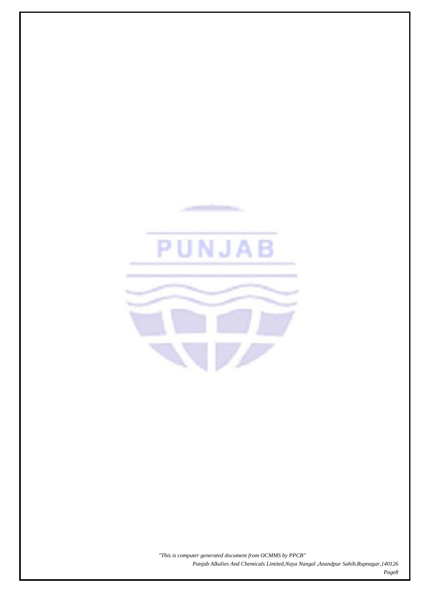